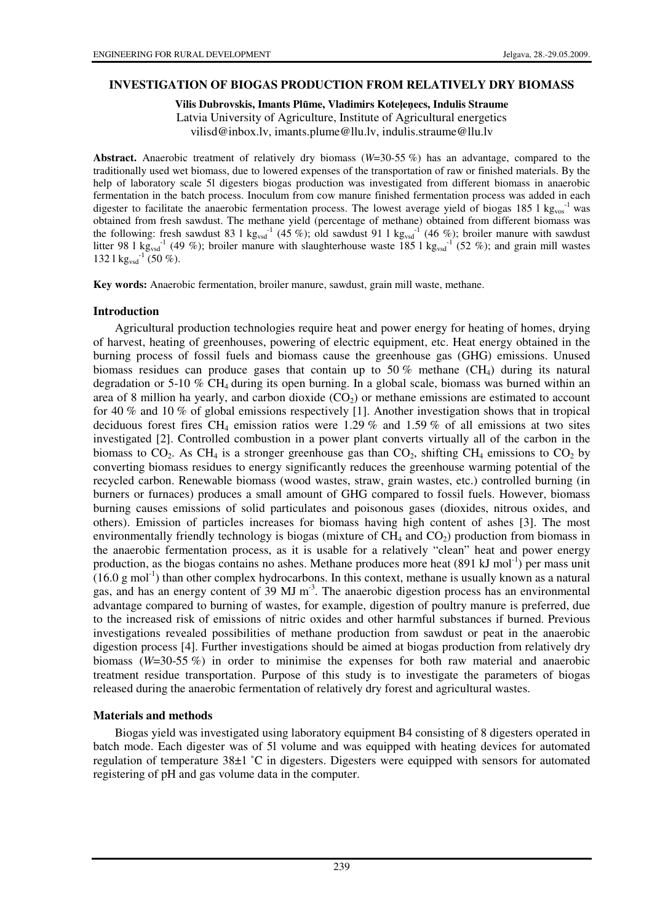#### **INVESTIGATION OF BIOGAS PRODUCTION FROM RELATIVELY DRY BIOMASS**

**Vilis Dubrovskis, Imants Pl**ū**me, Vladimirs Kote**ļ**e**ņ**ecs, Indulis Straume** 

Latvia University of Agriculture, Institute of Agricultural energetics

vilisd@inbox.lv, imants.plume@llu.lv, indulis.straume@llu.lv

**Abstract.** Anaerobic treatment of relatively dry biomass (*W*=30-55 %) has an advantage, compared to the traditionally used wet biomass, due to lowered expenses of the transportation of raw or finished materials. By the help of laboratory scale 5l digesters biogas production was investigated from different biomass in anaerobic fermentation in the batch process. Inoculum from cow manure finished fermentation process was added in each digester to facilitate the anaerobic fermentation process. The lowest average yield of biogas 185 l kg<sub>vos</sub><sup>-1</sup> was obtained from fresh sawdust. The methane yield (percentage of methane) obtained from different biomass was the following: fresh sawdust 83 l kg<sub>vsd</sub><sup>-1</sup> (45 %); old sawdust 91 l kg<sub>vsd</sub><sup>-1</sup> (46 %); broiler manure with sawdust litter 98 1 kg<sub>vsd</sub><sup>-1</sup> (49 %); broiler manure with slaughterhouse waste 185 1 kg<sub>vsd</sub><sup>-1</sup> (52 %); and grain mill wastes 132 l  $\text{kg}_{\text{vsd}}^{-1}$  (50 %).

**Key words:** Anaerobic fermentation, broiler manure, sawdust, grain mill waste, methane.

#### **Introduction**

Agricultural production technologies require heat and power energy for heating of homes, drying of harvest, heating of greenhouses, powering of electric equipment, etc. Heat energy obtained in the burning process of fossil fuels and biomass cause the greenhouse gas (GHG) emissions. Unused biomass residues can produce gases that contain up to 50 % methane  $(CH_4)$  during its natural degradation or 5-10  $\%$  CH<sub>4</sub> during its open burning. In a global scale, biomass was burned within an area of 8 million ha yearly, and carbon dioxide  $(CO<sub>2</sub>)$  or methane emissions are estimated to account for 40 % and 10 % of global emissions respectively [1]. Another investigation shows that in tropical deciduous forest fires CH<sub>4</sub> emission ratios were 1.29 % and 1.59 % of all emissions at two sites investigated [2]. Controlled combustion in a power plant converts virtually all of the carbon in the biomass to  $CO_2$ . As CH<sub>4</sub> is a stronger greenhouse gas than  $CO_2$ , shifting CH<sub>4</sub> emissions to  $CO_2$  by converting biomass residues to energy significantly reduces the greenhouse warming potential of the recycled carbon. Renewable biomass (wood wastes, straw, grain wastes, etc.) controlled burning (in burners or furnaces) produces a small amount of GHG compared to fossil fuels. However, biomass burning causes emissions of solid particulates and poisonous gases (dioxides, nitrous oxides, and others). Emission of particles increases for biomass having high content of ashes [3]. The most environmentally friendly technology is biogas (mixture of  $CH_4$  and  $CO_2$ ) production from biomass in the anaerobic fermentation process, as it is usable for a relatively "clean" heat and power energy production, as the biogas contains no ashes. Methane produces more heat  $(891 \text{ kJ mol}^{-1})$  per mass unit  $(16.0 \text{ g mol}^{-1})$  than other complex hydrocarbons. In this context, methane is usually known as a natural gas, and has an energy content of  $39 \text{ MJ m}^3$ . The anaerobic digestion process has an environmental advantage compared to burning of wastes, for example, digestion of poultry manure is preferred, due to the increased risk of emissions of nitric oxides and other harmful substances if burned. Previous investigations revealed possibilities of methane production from sawdust or peat in the anaerobic digestion process [4]. Further investigations should be aimed at biogas production from relatively dry biomass (*W*=30-55 %) in order to minimise the expenses for both raw material and anaerobic treatment residue transportation. Purpose of this study is to investigate the parameters of biogas released during the anaerobic fermentation of relatively dry forest and agricultural wastes.

#### **Materials and methods**

Biogas yield was investigated using laboratory equipment B4 consisting of 8 digesters operated in batch mode. Each digester was of 5l volume and was equipped with heating devices for automated regulation of temperature 38±1 ˚C in digesters. Digesters were equipped with sensors for automated registering of pH and gas volume data in the computer.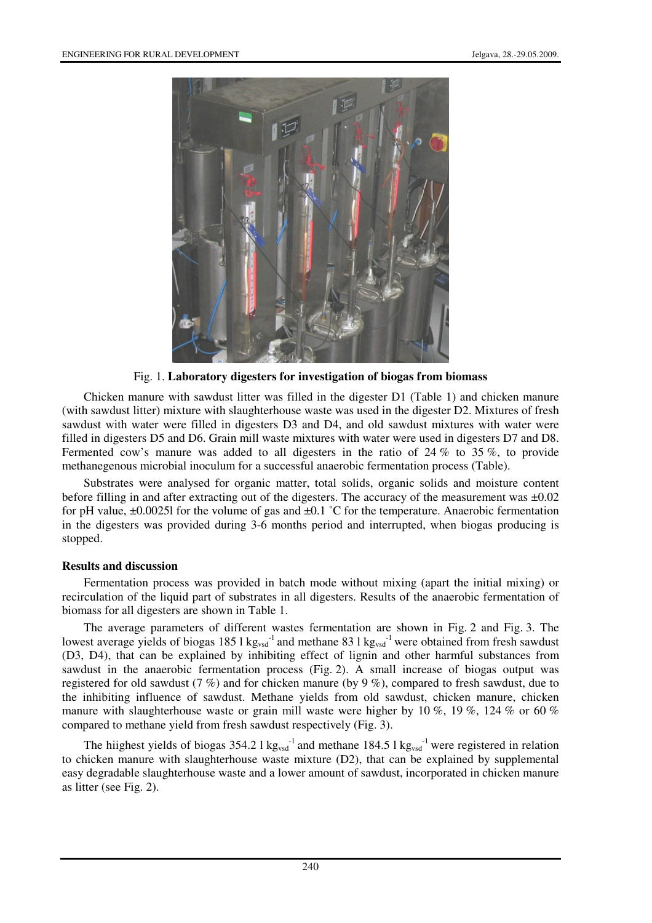

Fig. 1. **Laboratory digesters for investigation of biogas from biomass** 

Chicken manure with sawdust litter was filled in the digester D1 (Table 1) and chicken manure (with sawdust litter) mixture with slaughterhouse waste was used in the digester D2. Mixtures of fresh sawdust with water were filled in digesters D3 and D4, and old sawdust mixtures with water were filled in digesters D5 and D6. Grain mill waste mixtures with water were used in digesters D7 and D8. Fermented cow's manure was added to all digesters in the ratio of 24 % to 35 %, to provide methanegenous microbial inoculum for a successful anaerobic fermentation process (Table).

Substrates were analysed for organic matter, total solids, organic solids and moisture content before filling in and after extracting out of the digesters. The accuracy of the measurement was ±0.02 for pH value,  $\pm 0.00251$  for the volume of gas and  $\pm 0.1$  °C for the temperature. Anaerobic fermentation in the digesters was provided during 3-6 months period and interrupted, when biogas producing is stopped.

# **Results and discussion**

Fermentation process was provided in batch mode without mixing (apart the initial mixing) or recirculation of the liquid part of substrates in all digesters. Results of the anaerobic fermentation of biomass for all digesters are shown in Table 1.

The average parameters of different wastes fermentation are shown in Fig. 2 and Fig. 3. The lowest average yields of biogas 185 l kg<sub>vsd</sub><sup>-1</sup> and methane 83 l kg<sub>vsd</sub><sup>-1</sup> were obtained from fresh sawdust (D3, D4), that can be explained by inhibiting effect of lignin and other harmful substances from sawdust in the anaerobic fermentation process (Fig. 2). A small increase of biogas output was registered for old sawdust (7 %) and for chicken manure (by 9 %), compared to fresh sawdust, due to the inhibiting influence of sawdust. Methane yields from old sawdust, chicken manure, chicken manure with slaughterhouse waste or grain mill waste were higher by 10 %, 19 %, 124 % or 60 % compared to methane yield from fresh sawdust respectively (Fig. 3).

The hiighest yields of biogas  $354.2 \text{ l kg}_{\text{vsd}}$ <sup>-1</sup> and methane  $184.5 \text{ l kg}_{\text{vsd}}$ <sup>-1</sup> were registered in relation to chicken manure with slaughterhouse waste mixture (D2), that can be explained by supplemental easy degradable slaughterhouse waste and a lower amount of sawdust, incorporated in chicken manure as litter (see Fig. 2).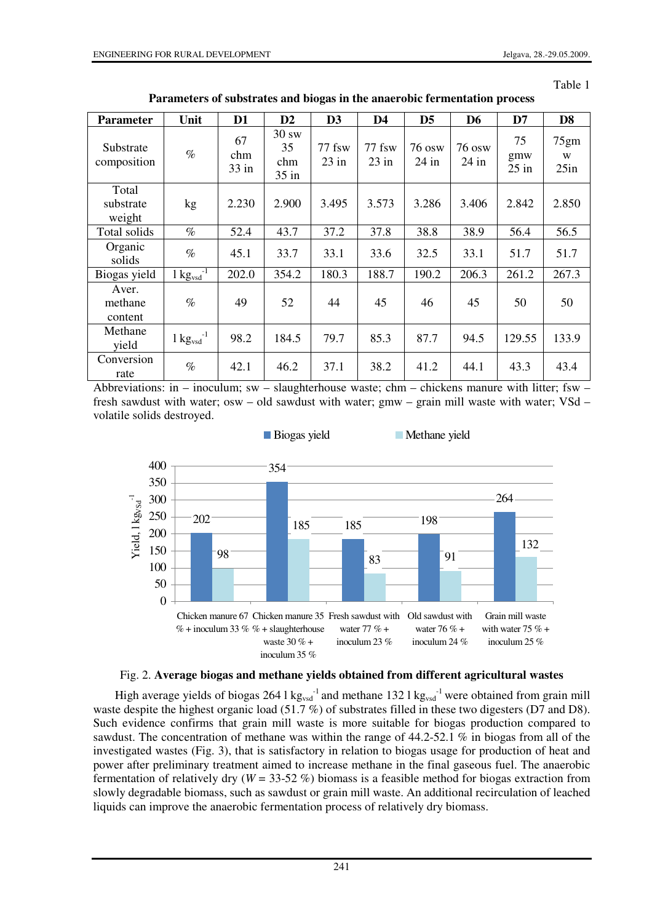| ٦<br>аΓ<br>۱<br>ι٣ |  |
|--------------------|--|
|                    |  |

| <b>Parameter</b>             | Unit                                       | D <sub>1</sub>       | D2                            | D <sub>3</sub>    | D <sub>4</sub>    | D <sub>5</sub>           | D <sub>6</sub>    | D7                   | D <sub>8</sub>    |
|------------------------------|--------------------------------------------|----------------------|-------------------------------|-------------------|-------------------|--------------------------|-------------------|----------------------|-------------------|
| Substrate<br>composition     | $\%$                                       | 67<br>chm<br>$33$ in | 30 sw<br>35<br>chm<br>$35$ in | 77 fsw<br>$23$ in | 77 fsw<br>$23$ in | <b>76 osw</b><br>$24$ in | 76 osw<br>$24$ in | 75<br>gmw<br>$25$ in | 75gm<br>W<br>25in |
| Total<br>substrate<br>weight | kg                                         | 2.230                | 2.900                         | 3.495             | 3.573             | 3.286                    | 3.406             | 2.842                | 2.850             |
| Total solids                 | $\%$                                       | 52.4                 | 43.7                          | 37.2              | 37.8              | 38.8                     | 38.9              | 56.4                 | 56.5              |
| Organic<br>solids            | $\%$                                       | 45.1                 | 33.7                          | 33.1              | 33.6              | 32.5                     | 33.1              | 51.7                 | 51.7              |
| Biogas yield                 | $1 \text{kg}$ <sub>vsd</sub> <sup>-1</sup> | 202.0                | 354.2                         | 180.3             | 188.7             | 190.2                    | 206.3             | 261.2                | 267.3             |
| Aver.<br>methane<br>content  | $\%$                                       | 49                   | 52                            | 44                | 45                | 46                       | 45                | 50                   | 50                |
| Methane<br>yield             | $1 \text{ kg}$ <sub>vsd</sub>              | 98.2                 | 184.5                         | 79.7              | 85.3              | 87.7                     | 94.5              | 129.55               | 133.9             |
| Conversion<br>rate           | $\%$                                       | 42.1                 | 46.2                          | 37.1              | 38.2              | 41.2                     | 44.1              | 43.3                 | 43.4              |

**Parameters of substrates and biogas in the anaerobic fermentation process** 

Abbreviations: in – inoculum; sw – slaughterhouse waste; chm – chickens manure with litter; fsw – fresh sawdust with water; osw – old sawdust with water; gmw – grain mill waste with water; VSd – volatile solids destroyed.





High average yields of biogas 264 l  $kg_{vsd}^{-1}$  and methane 132 l  $kg_{vsd}^{-1}$  were obtained from grain mill waste despite the highest organic load (51.7 %) of substrates filled in these two digesters (D7 and D8). Such evidence confirms that grain mill waste is more suitable for biogas production compared to sawdust. The concentration of methane was within the range of 44.2-52.1 % in biogas from all of the investigated wastes (Fig. 3), that is satisfactory in relation to biogas usage for production of heat and power after preliminary treatment aimed to increase methane in the final gaseous fuel. The anaerobic fermentation of relatively dry ( $W = 33-52$  %) biomass is a feasible method for biogas extraction from slowly degradable biomass, such as sawdust or grain mill waste. An additional recirculation of leached liquids can improve the anaerobic fermentation process of relatively dry biomass.